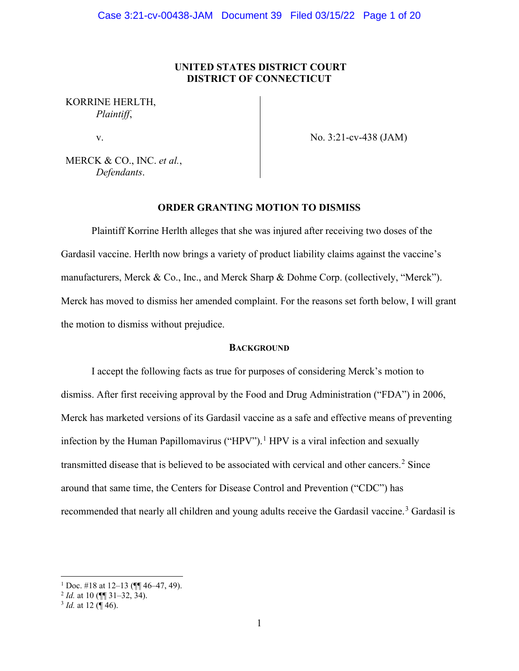# **UNITED STATES DISTRICT COURT DISTRICT OF CONNECTICUT**

# KORRINE HERLTH, *Plaintiff*,

v.

No. 3:21-cv-438 (JAM)

MERCK & CO., INC. *et al.*, *Defendants*.

# **ORDER GRANTING MOTION TO DISMISS**

Plaintiff Korrine Herlth alleges that she was injured after receiving two doses of the Gardasil vaccine. Herlth now brings a variety of product liability claims against the vaccine's manufacturers, Merck & Co., Inc., and Merck Sharp & Dohme Corp. (collectively, "Merck"). Merck has moved to dismiss her amended complaint. For the reasons set forth below, I will grant the motion to dismiss without prejudice.

# **BACKGROUND**

I accept the following facts as true for purposes of considering Merck's motion to dismiss. After first receiving approval by the Food and Drug Administration ("FDA") in 2006, Merck has marketed versions of its Gardasil vaccine as a safe and effective means of preventing infection by the Human Papillomavirus ("HPV").<sup>1</sup> HPV is a viral infection and sexually transmitted disease that is believed to be associated with cervical and other cancers.<sup>2</sup> Since around that same time, the Centers for Disease Control and Prevention ("CDC") has recommended that nearly all children and young adults receive the Gardasil vaccine.<sup>3</sup> Gardasil is

<sup>&</sup>lt;sup>1</sup> Doc. #18 at 12–13 ( $\P$  46–47, 49).

<sup>2</sup> *Id.* at 10 (¶¶ 31–32, 34).

 $3$  *Id.* at 12 ( $\sqrt{9}$  46).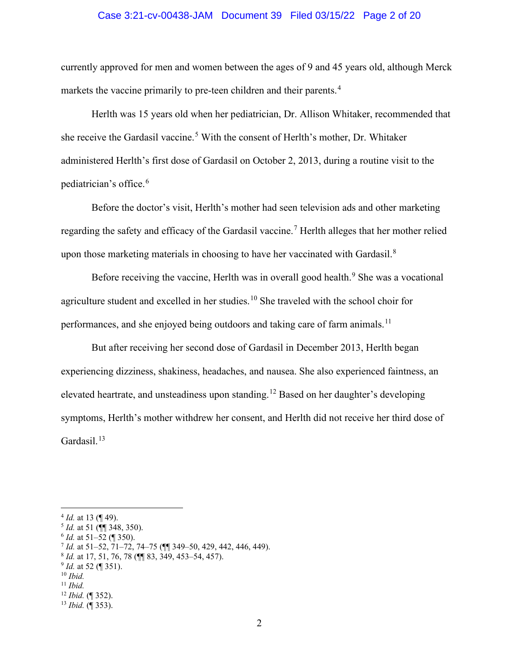#### Case 3:21-cv-00438-JAM Document 39 Filed 03/15/22 Page 2 of 20

currently approved for men and women between the ages of 9 and 45 years old, although Merck markets the vaccine primarily to pre-teen children and their parents.<sup>4</sup>

Herlth was 15 years old when her pediatrician, Dr. Allison Whitaker, recommended that she receive the Gardasil vaccine.<sup>5</sup> With the consent of Herlth's mother, Dr. Whitaker administered Herlth's first dose of Gardasil on October 2, 2013, during a routine visit to the pediatrician's office. 6

Before the doctor's visit, Herlth's mother had seen television ads and other marketing regarding the safety and efficacy of the Gardasil vaccine.<sup>7</sup> Herlth alleges that her mother relied upon those marketing materials in choosing to have her vaccinated with Gardasil.<sup>8</sup>

Before receiving the vaccine, Herlth was in overall good health.<sup>9</sup> She was a vocational agriculture student and excelled in her studies.<sup>10</sup> She traveled with the school choir for performances, and she enjoyed being outdoors and taking care of farm animals.<sup>11</sup>

But after receiving her second dose of Gardasil in December 2013, Herlth began experiencing dizziness, shakiness, headaches, and nausea. She also experienced faintness, an elevated heartrate, and unsteadiness upon standing.<sup>12</sup> Based on her daughter's developing symptoms, Herlth's mother withdrew her consent, and Herlth did not receive her third dose of Gardasil.<sup>13</sup>

<sup>4</sup> *Id.* at 13 (¶ 49).

 $\frac{5}{6}$  *Id.* at 51 ( $\frac{1}{10}$  348, 350).

<sup>7</sup> *Id.* at 51–52, 71–72, 74–75 (¶¶ 349–50, 429, 442, 446, 449).

<sup>8</sup> *Id.* at 17, 51, 76, 78 (¶¶ 83, 349, 453–54, 457).

 $^{9}$  *Id.* at 52 (¶ 351).

<sup>10</sup> *Ibid.*

<sup>11</sup> *Ibid.*

<sup>12</sup> *Ibid.* (¶ 352).

<sup>13</sup> *Ibid.* (¶ 353).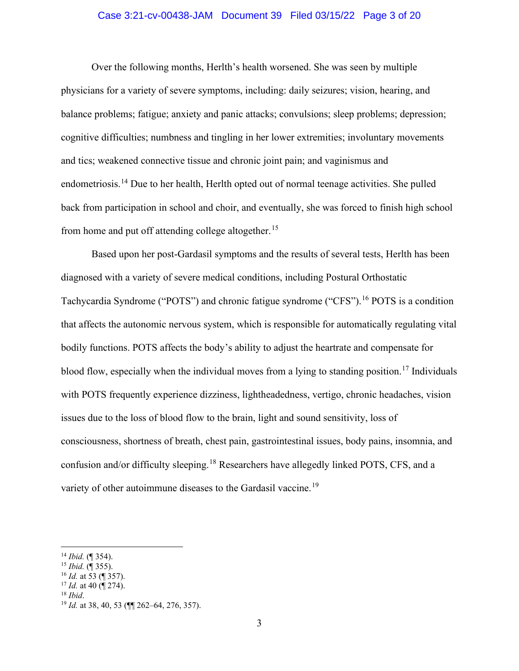# Case 3:21-cv-00438-JAM Document 39 Filed 03/15/22 Page 3 of 20

Over the following months, Herlth's health worsened. She was seen by multiple physicians for a variety of severe symptoms, including: daily seizures; vision, hearing, and balance problems; fatigue; anxiety and panic attacks; convulsions; sleep problems; depression; cognitive difficulties; numbness and tingling in her lower extremities; involuntary movements and tics; weakened connective tissue and chronic joint pain; and vaginismus and endometriosis.<sup>14</sup> Due to her health, Herlth opted out of normal teenage activities. She pulled back from participation in school and choir, and eventually, she was forced to finish high school from home and put off attending college altogether.<sup>15</sup>

Based upon her post-Gardasil symptoms and the results of several tests, Herlth has been diagnosed with a variety of severe medical conditions, including Postural Orthostatic Tachycardia Syndrome ("POTS") and chronic fatigue syndrome ("CFS").<sup>16</sup> POTS is a condition that affects the autonomic nervous system, which is responsible for automatically regulating vital bodily functions. POTS affects the body's ability to adjust the heartrate and compensate for blood flow, especially when the individual moves from a lying to standing position.<sup>17</sup> Individuals with POTS frequently experience dizziness, lightheadedness, vertigo, chronic headaches, vision issues due to the loss of blood flow to the brain, light and sound sensitivity, loss of consciousness, shortness of breath, chest pain, gastrointestinal issues, body pains, insomnia, and confusion and/or difficulty sleeping.<sup>18</sup> Researchers have allegedly linked POTS, CFS, and a variety of other autoimmune diseases to the Gardasil vaccine.<sup>19</sup>

<sup>16</sup> *Id.* at 53 (¶ 357).

<sup>18</sup> *Ibid*.

<sup>14</sup> *Ibid.* (¶ 354).

<sup>15</sup> *Ibid.* (¶ 355).

<sup>17</sup> *Id.* at 40 (¶ 274).

<sup>19</sup> *Id.* at 38, 40, 53 (¶¶ 262–64, 276, 357).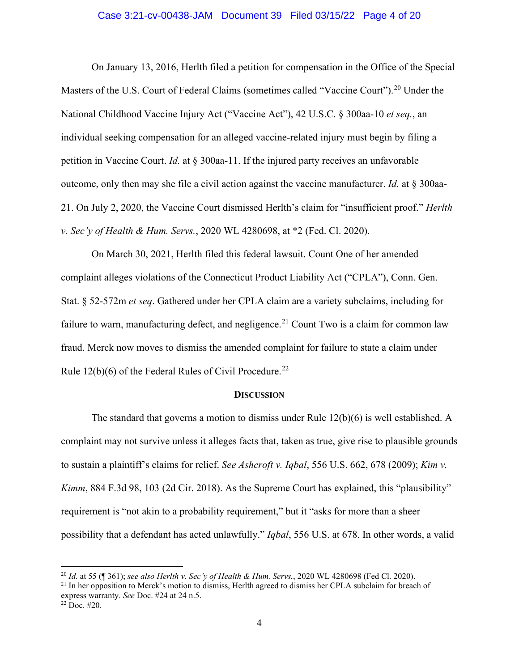#### Case 3:21-cv-00438-JAM Document 39 Filed 03/15/22 Page 4 of 20

On January 13, 2016, Herlth filed a petition for compensation in the Office of the Special Masters of the U.S. Court of Federal Claims (sometimes called "Vaccine Court").<sup>20</sup> Under the National Childhood Vaccine Injury Act ("Vaccine Act"), 42 U.S.C. § 300aa-10 *et seq.*, an individual seeking compensation for an alleged vaccine-related injury must begin by filing a petition in Vaccine Court. *Id.* at § 300aa-11. If the injured party receives an unfavorable outcome, only then may she file a civil action against the vaccine manufacturer. *Id.* at § 300aa-21. On July 2, 2020, the Vaccine Court dismissed Herlth's claim for "insufficient proof." *Herlth v. Sec'y of Health & Hum. Servs.*, 2020 WL 4280698, at \*2 (Fed. Cl. 2020).

On March 30, 2021, Herlth filed this federal lawsuit. Count One of her amended complaint alleges violations of the Connecticut Product Liability Act ("CPLA"), Conn. Gen. Stat. § 52-572m *et seq*. Gathered under her CPLA claim are a variety subclaims, including for failure to warn, manufacturing defect, and negligence.<sup>21</sup> Count Two is a claim for common law fraud. Merck now moves to dismiss the amended complaint for failure to state a claim under Rule  $12(b)(6)$  of the Federal Rules of Civil Procedure.<sup>22</sup>

#### **DISCUSSION**

The standard that governs a motion to dismiss under Rule 12(b)(6) is well established. A complaint may not survive unless it alleges facts that, taken as true, give rise to plausible grounds to sustain a plaintiff's claims for relief. *See Ashcroft v. Iqbal*, 556 U.S. 662, 678 (2009); *Kim v. Kimm*, 884 F.3d 98, 103 (2d Cir. 2018). As the Supreme Court has explained, this "plausibility" requirement is "not akin to a probability requirement," but it "asks for more than a sheer possibility that a defendant has acted unlawfully." *Iqbal*, 556 U.S. at 678. In other words, a valid

<sup>20</sup> *Id.* at 55 (¶ 361); *see also Herlth v. Sec'y of Health & Hum. Servs.*, 2020 WL 4280698 (Fed Cl. 2020).

<sup>&</sup>lt;sup>21</sup> In her opposition to Merck's motion to dismiss, Herlth agreed to dismiss her CPLA subclaim for breach of express warranty. *See* Doc. #24 at 24 n.5.

 $22$  Doc. #20.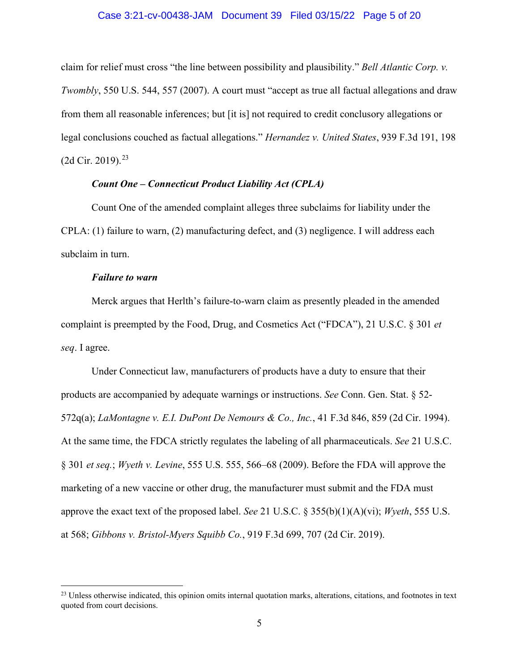#### Case 3:21-cv-00438-JAM Document 39 Filed 03/15/22 Page 5 of 20

claim for relief must cross "the line between possibility and plausibility." *Bell Atlantic Corp. v. Twombly*, 550 U.S. 544, 557 (2007). A court must "accept as true all factual allegations and draw from them all reasonable inferences; but [it is] not required to credit conclusory allegations or legal conclusions couched as factual allegations." *Hernandez v. United States*, 939 F.3d 191, 198  $(2d$  Cir. 2019).<sup>23</sup>

# *Count One – Connecticut Product Liability Act (CPLA)*

Count One of the amended complaint alleges three subclaims for liability under the CPLA: (1) failure to warn, (2) manufacturing defect, and (3) negligence. I will address each subclaim in turn.

#### *Failure to warn*

Merck argues that Herlth's failure-to-warn claim as presently pleaded in the amended complaint is preempted by the Food, Drug, and Cosmetics Act ("FDCA"), 21 U.S.C. § 301 *et seq*. I agree.

Under Connecticut law, manufacturers of products have a duty to ensure that their products are accompanied by adequate warnings or instructions. *See* Conn. Gen. Stat. § 52- 572q(a); *LaMontagne v. E.I. DuPont De Nemours & Co., Inc.*, 41 F.3d 846, 859 (2d Cir. 1994). At the same time, the FDCA strictly regulates the labeling of all pharmaceuticals. *See* 21 U.S.C. § 301 *et seq.*; *Wyeth v. Levine*, 555 U.S. 555, 566–68 (2009). Before the FDA will approve the marketing of a new vaccine or other drug, the manufacturer must submit and the FDA must approve the exact text of the proposed label. *See* 21 U.S.C. § 355(b)(1)(A)(vi); *Wyeth*, 555 U.S. at 568; *Gibbons v. Bristol-Myers Squibb Co.*, 919 F.3d 699, 707 (2d Cir. 2019).

<sup>&</sup>lt;sup>23</sup> Unless otherwise indicated, this opinion omits internal quotation marks, alterations, citations, and footnotes in text quoted from court decisions.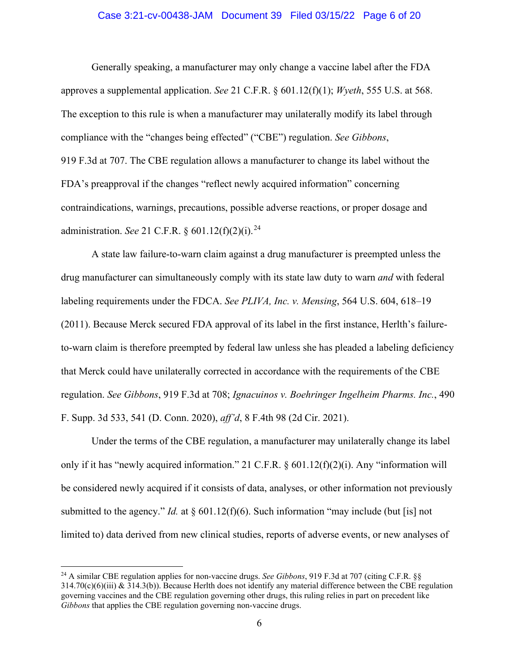#### Case 3:21-cv-00438-JAM Document 39 Filed 03/15/22 Page 6 of 20

Generally speaking, a manufacturer may only change a vaccine label after the FDA approves a supplemental application. *See* 21 C.F.R. § 601.12(f)(1); *Wyeth*, 555 U.S. at 568. The exception to this rule is when a manufacturer may unilaterally modify its label through compliance with the "changes being effected" ("CBE") regulation. *See Gibbons*, 919 F.3d at 707. The CBE regulation allows a manufacturer to change its label without the FDA's preapproval if the changes "reflect newly acquired information" concerning contraindications, warnings, precautions, possible adverse reactions, or proper dosage and administration. *See* 21 C.F.R. § 601.12(f)(2)(i). 24

A state law failure-to-warn claim against a drug manufacturer is preempted unless the drug manufacturer can simultaneously comply with its state law duty to warn *and* with federal labeling requirements under the FDCA. *See PLIVA, Inc. v. Mensing*, 564 U.S. 604, 618–19 (2011). Because Merck secured FDA approval of its label in the first instance, Herlth's failureto-warn claim is therefore preempted by federal law unless she has pleaded a labeling deficiency that Merck could have unilaterally corrected in accordance with the requirements of the CBE regulation. *See Gibbons*, 919 F.3d at 708; *Ignacuinos v. Boehringer Ingelheim Pharms. Inc.*, 490 F. Supp. 3d 533, 541 (D. Conn. 2020), *aff'd*, 8 F.4th 98 (2d Cir. 2021).

Under the terms of the CBE regulation, a manufacturer may unilaterally change its label only if it has "newly acquired information." 21 C.F.R. § 601.12(f)(2)(i). Any "information will be considered newly acquired if it consists of data, analyses, or other information not previously submitted to the agency." *Id.* at  $\S$  601.12(f)(6). Such information "may include (but [is] not limited to) data derived from new clinical studies, reports of adverse events, or new analyses of

<sup>24</sup> A similar CBE regulation applies for non-vaccine drugs. *See Gibbons*, 919 F.3d at 707 (citing C.F.R. §§  $314.70(c)(6)(iii)$  &  $314.3(b)$ ). Because Herlth does not identify any material difference between the CBE regulation governing vaccines and the CBE regulation governing other drugs, this ruling relies in part on precedent like *Gibbons* that applies the CBE regulation governing non-vaccine drugs.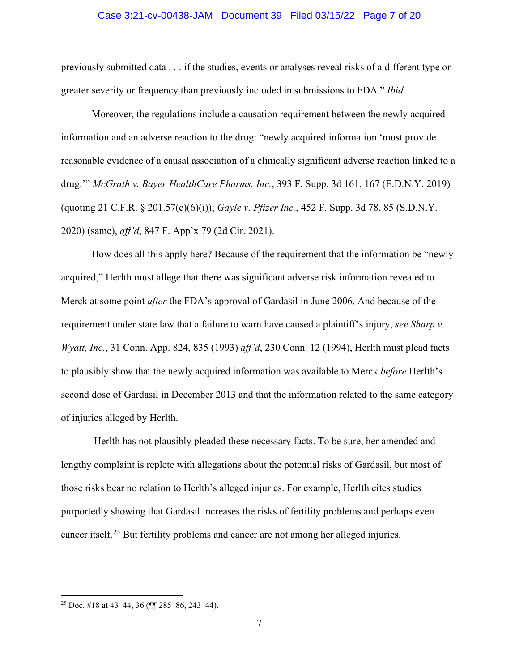#### Case 3:21-cv-00438-JAM Document 39 Filed 03/15/22 Page 7 of 20

previously submitted data . . . if the studies, events or analyses reveal risks of a different type or greater severity or frequency than previously included in submissions to FDA." *Ibid.*

Moreover, the regulations include a causation requirement between the newly acquired information and an adverse reaction to the drug: "newly acquired information 'must provide reasonable evidence of a causal association of a clinically significant adverse reaction linked to a drug.'" *McGrath v. Bayer HealthCare Pharms. Inc.*, 393 F. Supp. 3d 161, 167 (E.D.N.Y. 2019) (quoting 21 C.F.R. § 201.57(c)(6)(i)); *Gayle v. Pfizer Inc.*, 452 F. Supp. 3d 78, 85 (S.D.N.Y. 2020) (same), *aff'd*, 847 F. App'x 79 (2d Cir. 2021).

How does all this apply here? Because of the requirement that the information be "newly acquired," Herlth must allege that there was significant adverse risk information revealed to Merck at some point *after* the FDA's approval of Gardasil in June 2006. And because of the requirement under state law that a failure to warn have caused a plaintiff's injury, *see Sharp v. Wyatt, Inc.*, 31 Conn. App. 824, 835 (1993) *aff'd*, 230 Conn. 12 (1994), Herlth must plead facts to plausibly show that the newly acquired information was available to Merck *before* Herlth's second dose of Gardasil in December 2013 and that the information related to the same category of injuries alleged by Herlth.

Herlth has not plausibly pleaded these necessary facts. To be sure, her amended and lengthy complaint is replete with allegations about the potential risks of Gardasil, but most of those risks bear no relation to Herlth's alleged injuries. For example, Herlth cites studies purportedly showing that Gardasil increases the risks of fertility problems and perhaps even cancer itself.<sup>25</sup> But fertility problems and cancer are not among her alleged injuries.

<sup>&</sup>lt;sup>25</sup> Doc. #18 at 43–44, 36 ( $\P$  285–86, 243–44).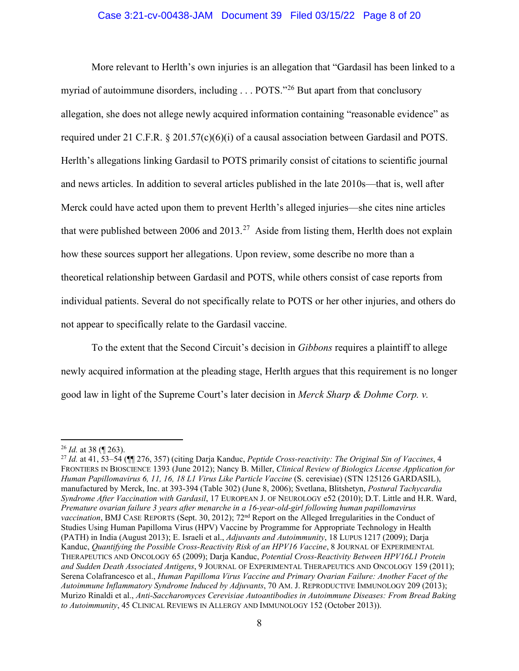# Case 3:21-cv-00438-JAM Document 39 Filed 03/15/22 Page 8 of 20

More relevant to Herlth's own injuries is an allegation that "Gardasil has been linked to a myriad of autoimmune disorders, including . . . POTS."<sup>26</sup> But apart from that conclusory allegation, she does not allege newly acquired information containing "reasonable evidence" as required under 21 C.F.R. § 201.57(c)(6)(i) of a causal association between Gardasil and POTS. Herlth's allegations linking Gardasil to POTS primarily consist of citations to scientific journal and news articles. In addition to several articles published in the late 2010s—that is, well after Merck could have acted upon them to prevent Herlth's alleged injuries—she cites nine articles that were published between 2006 and 2013.<sup>27</sup> Aside from listing them, Herlth does not explain how these sources support her allegations. Upon review, some describe no more than a theoretical relationship between Gardasil and POTS, while others consist of case reports from individual patients. Several do not specifically relate to POTS or her other injuries, and others do not appear to specifically relate to the Gardasil vaccine.

To the extent that the Second Circuit's decision in *Gibbons* requires a plaintiff to allege newly acquired information at the pleading stage, Herlth argues that this requirement is no longer good law in light of the Supreme Court's later decision in *Merck Sharp & Dohme Corp. v.* 

<sup>26</sup> *Id.* at 38 (¶ 263).

<sup>27</sup> *Id.* at 41, 53–54 (¶¶ 276, 357) (citing Darja Kanduc, *Peptide Cross-reactivity: The Original Sin of Vaccines*, 4 FRONTIERS IN BIOSCIENCE 1393 (June 2012); Nancy B. Miller, *Clinical Review of Biologics License Application for Human Papillomavirus 6, 11, 16, 18 L1 Virus Like Particle Vaccine* (S. cerevisiae) (STN 125126 GARDASIL), manufactured by Merck, Inc. at 393-394 (Table 302) (June 8, 2006); Svetlana, Blitshetyn, *Postural Tachycardia Syndrome After Vaccination with Gardasil*, 17 EUROPEAN J. OF NEUROLOGY e52 (2010); D.T. Little and H.R. Ward, *Premature ovarian failure 3 years after menarche in a 16-year-old-girl following human papillomavirus vaccination*, BMJ CASE REPORTS (Sept. 30, 2012); 72nd Report on the Alleged Irregularities in the Conduct of Studies Using Human Papilloma Virus (HPV) Vaccine by Programme for Appropriate Technology in Health (PATH) in India (August 2013); E. Israeli et al., *Adjuvants and Autoimmunity*, 18 LUPUS 1217 (2009); Darja Kanduc, *Quantifying the Possible Cross-Reactivity Risk of an HPV16 Vaccine*, 8 JOURNAL OF EXPERIMENTAL THERAPEUTICS AND ONCOLOGY 65 (2009); Darja Kanduc, *Potential Cross-Reactivity Between HPV16L1 Protein and Sudden Death Associated Antigens*, 9 JOURNAL OF EXPERIMENTAL THERAPEUTICS AND ONCOLOGY 159 (2011); Serena Colafrancesco et al., *Human Papilloma Virus Vaccine and Primary Ovarian Failure: Another Facet of the Autoimmune Inflammatory Syndrome Induced by Adjuvants*, 70 AM. J. REPRODUCTIVE IMMUNOLOGY 209 (2013); Murizo Rinaldi et al., *Anti-Saccharomyces Cerevisiae Autoantibodies in Autoimmune Diseases: From Bread Baking to Autoimmunity*, 45 CLINICAL REVIEWS IN ALLERGY AND IMMUNOLOGY 152 (October 2013)).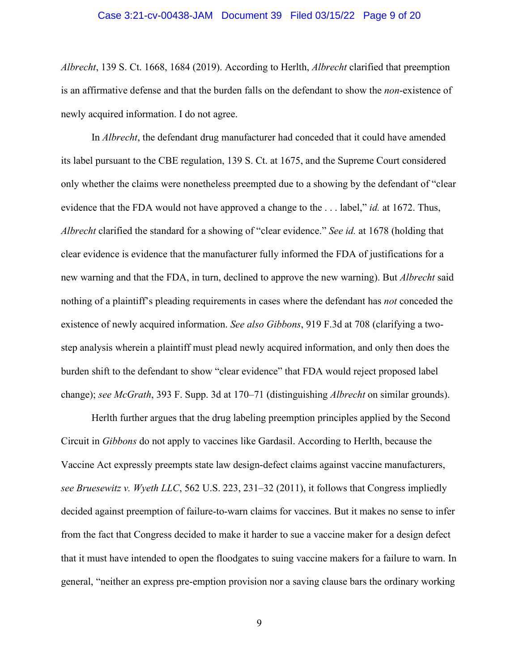#### Case 3:21-cv-00438-JAM Document 39 Filed 03/15/22 Page 9 of 20

*Albrecht*, 139 S. Ct. 1668, 1684 (2019). According to Herlth, *Albrecht* clarified that preemption is an affirmative defense and that the burden falls on the defendant to show the *non*-existence of newly acquired information. I do not agree.

In *Albrecht*, the defendant drug manufacturer had conceded that it could have amended its label pursuant to the CBE regulation, 139 S. Ct. at 1675, and the Supreme Court considered only whether the claims were nonetheless preempted due to a showing by the defendant of "clear evidence that the FDA would not have approved a change to the . . . label," *id.* at 1672. Thus, *Albrecht* clarified the standard for a showing of "clear evidence." *See id.* at 1678 (holding that clear evidence is evidence that the manufacturer fully informed the FDA of justifications for a new warning and that the FDA, in turn, declined to approve the new warning). But *Albrecht* said nothing of a plaintiff's pleading requirements in cases where the defendant has *not* conceded the existence of newly acquired information. *See also Gibbons*, 919 F.3d at 708 (clarifying a twostep analysis wherein a plaintiff must plead newly acquired information, and only then does the burden shift to the defendant to show "clear evidence" that FDA would reject proposed label change); *see McGrath*, 393 F. Supp. 3d at 170–71 (distinguishing *Albrecht* on similar grounds).

Herlth further argues that the drug labeling preemption principles applied by the Second Circuit in *Gibbons* do not apply to vaccines like Gardasil. According to Herlth, because the Vaccine Act expressly preempts state law design-defect claims against vaccine manufacturers, *see Bruesewitz v. Wyeth LLC*, 562 U.S. 223, 231–32 (2011), it follows that Congress impliedly decided against preemption of failure-to-warn claims for vaccines. But it makes no sense to infer from the fact that Congress decided to make it harder to sue a vaccine maker for a design defect that it must have intended to open the floodgates to suing vaccine makers for a failure to warn. In general, "neither an express pre-emption provision nor a saving clause bars the ordinary working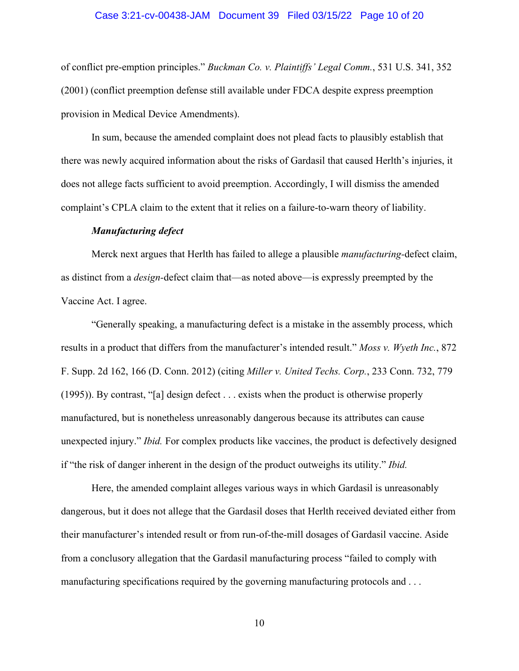### Case 3:21-cv-00438-JAM Document 39 Filed 03/15/22 Page 10 of 20

of conflict pre-emption principles." *Buckman Co. v. Plaintiffs' Legal Comm.*, 531 U.S. 341, 352 (2001) (conflict preemption defense still available under FDCA despite express preemption provision in Medical Device Amendments).

In sum, because the amended complaint does not plead facts to plausibly establish that there was newly acquired information about the risks of Gardasil that caused Herlth's injuries, it does not allege facts sufficient to avoid preemption. Accordingly, I will dismiss the amended complaint's CPLA claim to the extent that it relies on a failure-to-warn theory of liability.

#### *Manufacturing defect*

Merck next argues that Herlth has failed to allege a plausible *manufacturing-*defect claim, as distinct from a *design-*defect claim that—as noted above—is expressly preempted by the Vaccine Act. I agree.

"Generally speaking, a manufacturing defect is a mistake in the assembly process, which results in a product that differs from the manufacturer's intended result." *Moss v. Wyeth Inc.*, 872 F. Supp. 2d 162, 166 (D. Conn. 2012) (citing *Miller v. United Techs. Corp.*, 233 Conn. 732, 779 (1995)). By contrast, "[a] design defect . . . exists when the product is otherwise properly manufactured, but is nonetheless unreasonably dangerous because its attributes can cause unexpected injury." *Ibid.* For complex products like vaccines, the product is defectively designed if "the risk of danger inherent in the design of the product outweighs its utility." *Ibid.*

Here, the amended complaint alleges various ways in which Gardasil is unreasonably dangerous, but it does not allege that the Gardasil doses that Herlth received deviated either from their manufacturer's intended result or from run-of-the-mill dosages of Gardasil vaccine. Aside from a conclusory allegation that the Gardasil manufacturing process "failed to comply with manufacturing specifications required by the governing manufacturing protocols and ...

10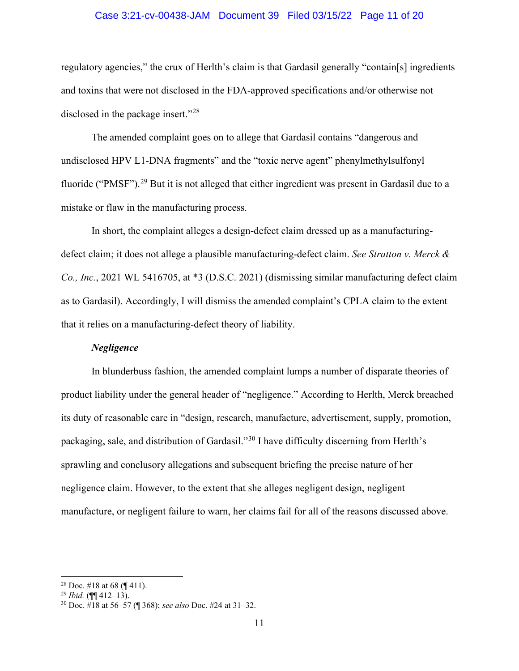# Case 3:21-cv-00438-JAM Document 39 Filed 03/15/22 Page 11 of 20

regulatory agencies," the crux of Herlth's claim is that Gardasil generally "contain[s] ingredients and toxins that were not disclosed in the FDA-approved specifications and/or otherwise not disclosed in the package insert."<sup>28</sup>

The amended complaint goes on to allege that Gardasil contains "dangerous and undisclosed HPV L1-DNA fragments" and the "toxic nerve agent" phenylmethylsulfonyl fluoride ("PMSF").<sup>29</sup> But it is not alleged that either ingredient was present in Gardasil due to a mistake or flaw in the manufacturing process.

In short, the complaint alleges a design-defect claim dressed up as a manufacturingdefect claim; it does not allege a plausible manufacturing-defect claim. *See Stratton v. Merck & Co., Inc.*, 2021 WL 5416705, at \*3 (D.S.C. 2021) (dismissing similar manufacturing defect claim as to Gardasil). Accordingly, I will dismiss the amended complaint's CPLA claim to the extent that it relies on a manufacturing-defect theory of liability.

# *Negligence*

In blunderbuss fashion, the amended complaint lumps a number of disparate theories of product liability under the general header of "negligence." According to Herlth, Merck breached its duty of reasonable care in "design, research, manufacture, advertisement, supply, promotion, packaging, sale, and distribution of Gardasil."<sup>30</sup> I have difficulty discerning from Herlth's sprawling and conclusory allegations and subsequent briefing the precise nature of her negligence claim. However, to the extent that she alleges negligent design, negligent manufacture, or negligent failure to warn, her claims fail for all of the reasons discussed above.

<sup>&</sup>lt;sup>28</sup> Doc. #18 at 68 (¶ 411).

<sup>29</sup> *Ibid.* (¶¶ 412–13).

<sup>30</sup> Doc. #18 at 56–57 (¶ 368); *see also* Doc. #24 at 31–32.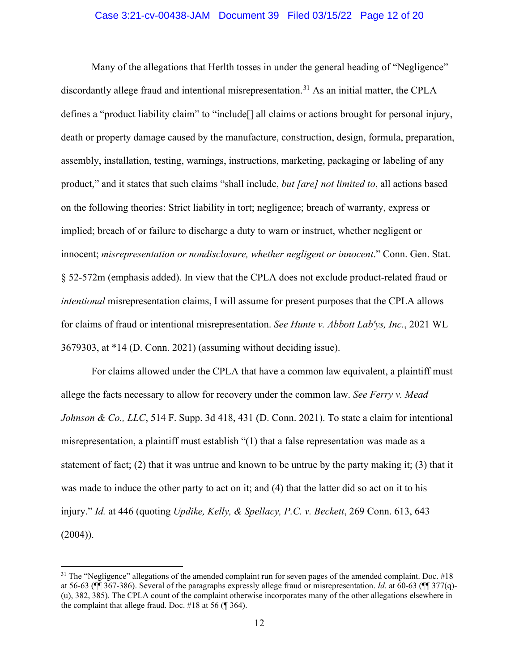# Case 3:21-cv-00438-JAM Document 39 Filed 03/15/22 Page 12 of 20

Many of the allegations that Herlth tosses in under the general heading of "Negligence" discordantly allege fraud and intentional misrepresentation.<sup>31</sup> As an initial matter, the CPLA defines a "product liability claim" to "include[] all claims or actions brought for personal injury, death or property damage caused by the manufacture, construction, design, formula, preparation, assembly, installation, testing, warnings, instructions, marketing, packaging or labeling of any product," and it states that such claims "shall include, *but [are] not limited to*, all actions based on the following theories: Strict liability in tort; negligence; breach of warranty, express or implied; breach of or failure to discharge a duty to warn or instruct, whether negligent or innocent; *misrepresentation or nondisclosure, whether negligent or innocent*." Conn. Gen. Stat. § 52-572m (emphasis added). In view that the CPLA does not exclude product-related fraud or *intentional* misrepresentation claims, I will assume for present purposes that the CPLA allows for claims of fraud or intentional misrepresentation. *See Hunte v. Abbott Lab'ys, Inc.*, 2021 WL 3679303, at \*14 (D. Conn. 2021) (assuming without deciding issue).

For claims allowed under the CPLA that have a common law equivalent, a plaintiff must allege the facts necessary to allow for recovery under the common law. *See Ferry v. Mead Johnson & Co., LLC*, 514 F. Supp. 3d 418, 431 (D. Conn. 2021). To state a claim for intentional misrepresentation, a plaintiff must establish "(1) that a false representation was made as a statement of fact;  $(2)$  that it was untrue and known to be untrue by the party making it;  $(3)$  that it was made to induce the other party to act on it; and (4) that the latter did so act on it to his injury." *Id.* at 446 (quoting *Updike, Kelly, & Spellacy, P.C. v. Beckett*, 269 Conn. 613, 643  $(2004)$ ).

 $31$  The "Negligence" allegations of the amended complaint run for seven pages of the amended complaint. Doc. #18 at 56-63 (¶¶ 367-386). Several of the paragraphs expressly allege fraud or misrepresentation. *Id.* at 60-63 (¶¶ 377(q)- (u), 382, 385). The CPLA count of the complaint otherwise incorporates many of the other allegations elsewhere in the complaint that allege fraud. Doc. #18 at 56 (¶ 364).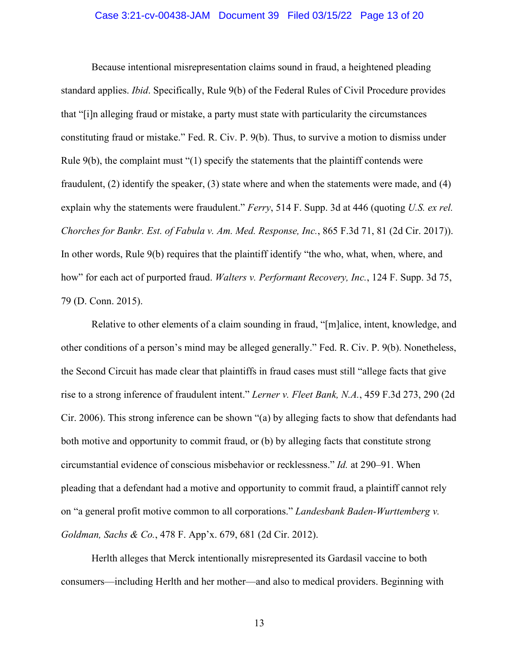# Case 3:21-cv-00438-JAM Document 39 Filed 03/15/22 Page 13 of 20

Because intentional misrepresentation claims sound in fraud, a heightened pleading standard applies. *Ibid*. Specifically, Rule 9(b) of the Federal Rules of Civil Procedure provides that "[i]n alleging fraud or mistake, a party must state with particularity the circumstances constituting fraud or mistake." Fed. R. Civ. P. 9(b). Thus, to survive a motion to dismiss under Rule  $9(b)$ , the complaint must " $(1)$  specify the statements that the plaintiff contends were fraudulent, (2) identify the speaker, (3) state where and when the statements were made, and (4) explain why the statements were fraudulent." *Ferry*, 514 F. Supp. 3d at 446 (quoting *U.S. ex rel. Chorches for Bankr. Est. of Fabula v. Am. Med. Response, Inc.*, 865 F.3d 71, 81 (2d Cir. 2017)). In other words, Rule 9(b) requires that the plaintiff identify "the who, what, when, where, and how" for each act of purported fraud. *Walters v. Performant Recovery, Inc.*, 124 F. Supp. 3d 75, 79 (D. Conn. 2015).

Relative to other elements of a claim sounding in fraud, "[m]alice, intent, knowledge, and other conditions of a person's mind may be alleged generally." Fed. R. Civ. P. 9(b). Nonetheless, the Second Circuit has made clear that plaintiffs in fraud cases must still "allege facts that give rise to a strong inference of fraudulent intent." *Lerner v. Fleet Bank, N.A.*, 459 F.3d 273, 290 (2d Cir. 2006). This strong inference can be shown "(a) by alleging facts to show that defendants had both motive and opportunity to commit fraud, or (b) by alleging facts that constitute strong circumstantial evidence of conscious misbehavior or recklessness." *Id.* at 290–91. When pleading that a defendant had a motive and opportunity to commit fraud, a plaintiff cannot rely on "a general profit motive common to all corporations." *Landesbank Baden-Wurttemberg v. Goldman, Sachs & Co.*, 478 F. App'x. 679, 681 (2d Cir. 2012).

Herlth alleges that Merck intentionally misrepresented its Gardasil vaccine to both consumers—including Herlth and her mother—and also to medical providers. Beginning with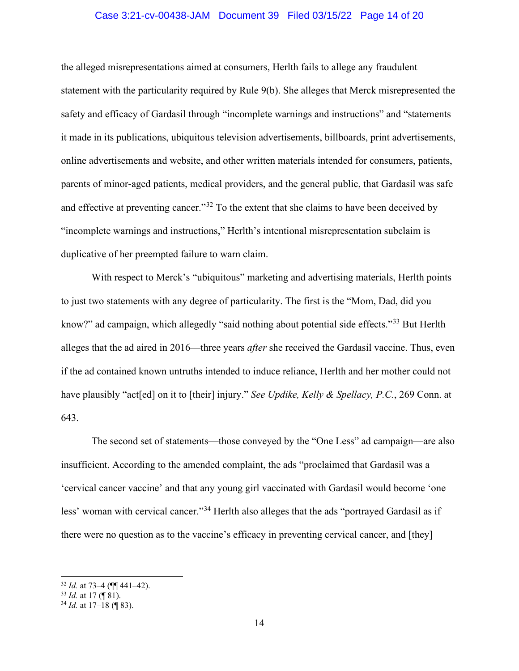# Case 3:21-cv-00438-JAM Document 39 Filed 03/15/22 Page 14 of 20

the alleged misrepresentations aimed at consumers, Herlth fails to allege any fraudulent statement with the particularity required by Rule 9(b). She alleges that Merck misrepresented the safety and efficacy of Gardasil through "incomplete warnings and instructions" and "statements it made in its publications, ubiquitous television advertisements, billboards, print advertisements, online advertisements and website, and other written materials intended for consumers, patients, parents of minor-aged patients, medical providers, and the general public, that Gardasil was safe and effective at preventing cancer."<sup>32</sup> To the extent that she claims to have been deceived by "incomplete warnings and instructions," Herlth's intentional misrepresentation subclaim is duplicative of her preempted failure to warn claim.

With respect to Merck's "ubiquitous" marketing and advertising materials, Herlth points to just two statements with any degree of particularity. The first is the "Mom, Dad, did you know?" ad campaign, which allegedly "said nothing about potential side effects."<sup>33</sup> But Herlth alleges that the ad aired in 2016—three years *after* she received the Gardasil vaccine. Thus, even if the ad contained known untruths intended to induce reliance, Herlth and her mother could not have plausibly "act[ed] on it to [their] injury." *See Updike, Kelly & Spellacy, P.C.*, 269 Conn. at 643.

The second set of statements—those conveyed by the "One Less" ad campaign—are also insufficient. According to the amended complaint, the ads "proclaimed that Gardasil was a 'cervical cancer vaccine' and that any young girl vaccinated with Gardasil would become 'one less' woman with cervical cancer."<sup>34</sup> Herlth also alleges that the ads "portrayed Gardasil as if there were no question as to the vaccine's efficacy in preventing cervical cancer, and [they]

<sup>32</sup> *Id.* at 73–4 (¶¶ 441–42).

<sup>33</sup> *Id.* at 17 (¶ 81).

<sup>34</sup> *Id.* at 17–18 (¶ 83).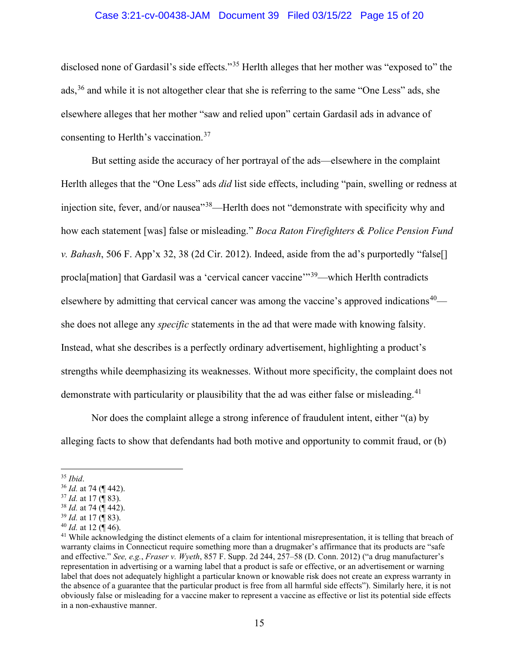# Case 3:21-cv-00438-JAM Document 39 Filed 03/15/22 Page 15 of 20

disclosed none of Gardasil's side effects."<sup>35</sup> Herlth alleges that her mother was "exposed to" the ads,<sup>36</sup> and while it is not altogether clear that she is referring to the same "One Less" ads, she elsewhere alleges that her mother "saw and relied upon" certain Gardasil ads in advance of consenting to Herlth's vaccination.<sup>37</sup>

But setting aside the accuracy of her portrayal of the ads—elsewhere in the complaint Herlth alleges that the "One Less" ads *did* list side effects, including "pain, swelling or redness at injection site, fever, and/or nausea<sup>338</sup>—Herlth does not "demonstrate with specificity why and how each statement [was] false or misleading." *Boca Raton Firefighters & Police Pension Fund v. Bahash*, 506 F. App'x 32, 38 (2d Cir. 2012). Indeed, aside from the ad's purportedly "false[] procla[mation] that Gardasil was a 'cervical cancer vaccine'"<sup>39</sup>—which Herlth contradicts elsewhere by admitting that cervical cancer was among the vaccine's approved indications<sup>40—</sup> she does not allege any *specific* statements in the ad that were made with knowing falsity. Instead, what she describes is a perfectly ordinary advertisement, highlighting a product's strengths while deemphasizing its weaknesses. Without more specificity, the complaint does not demonstrate with particularity or plausibility that the ad was either false or misleading.<sup>41</sup>

Nor does the complaint allege a strong inference of fraudulent intent, either "(a) by alleging facts to show that defendants had both motive and opportunity to commit fraud, or (b)

<sup>35</sup> *Ibid*. 36 *Id.* at 74 (¶ 442).

<sup>37</sup> *Id.* at 17 (¶ 83).

<sup>38</sup> *Id.* at 74 (¶ 442).

<sup>39</sup> *Id.* at 17 (¶ 83).

<sup>40</sup> *Id.* at 12 (¶ 46).

 $41$  While acknowledging the distinct elements of a claim for intentional misrepresentation, it is telling that breach of warranty claims in Connecticut require something more than a drugmaker's affirmance that its products are "safe and effective." *See, e.g.*, *Fraser v. Wyeth*, 857 F. Supp. 2d 244, 257–58 (D. Conn. 2012) ("a drug manufacturer's representation in advertising or a warning label that a product is safe or effective, or an advertisement or warning label that does not adequately highlight a particular known or knowable risk does not create an express warranty in the absence of a guarantee that the particular product is free from all harmful side effects"). Similarly here, it is not obviously false or misleading for a vaccine maker to represent a vaccine as effective or list its potential side effects in a non-exhaustive manner.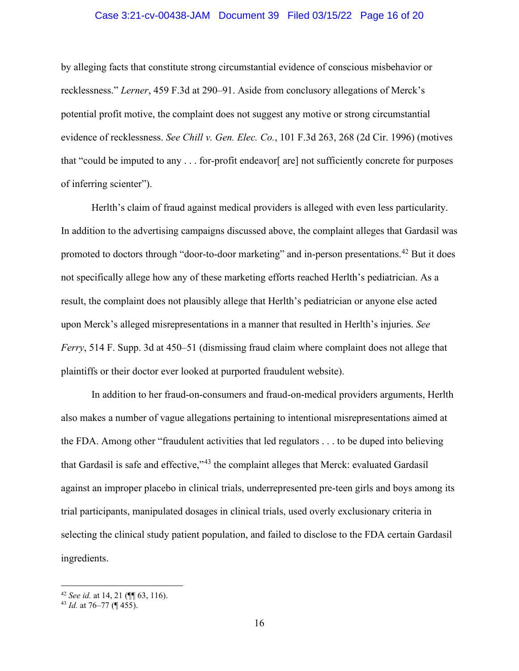# Case 3:21-cv-00438-JAM Document 39 Filed 03/15/22 Page 16 of 20

by alleging facts that constitute strong circumstantial evidence of conscious misbehavior or recklessness." *Lerner*, 459 F.3d at 290–91. Aside from conclusory allegations of Merck's potential profit motive, the complaint does not suggest any motive or strong circumstantial evidence of recklessness. *See Chill v. Gen. Elec. Co.*, 101 F.3d 263, 268 (2d Cir. 1996) (motives that "could be imputed to any  $\dots$  for-profit endeavor [are] not sufficiently concrete for purposes of inferring scienter").

Herlth's claim of fraud against medical providers is alleged with even less particularity. In addition to the advertising campaigns discussed above, the complaint alleges that Gardasil was promoted to doctors through "door-to-door marketing" and in-person presentations.<sup>42</sup> But it does not specifically allege how any of these marketing efforts reached Herlth's pediatrician. As a result, the complaint does not plausibly allege that Herlth's pediatrician or anyone else acted upon Merck's alleged misrepresentations in a manner that resulted in Herlth's injuries. *See Ferry*, 514 F. Supp. 3d at 450–51 (dismissing fraud claim where complaint does not allege that plaintiffs or their doctor ever looked at purported fraudulent website).

In addition to her fraud-on-consumers and fraud-on-medical providers arguments, Herlth also makes a number of vague allegations pertaining to intentional misrepresentations aimed at the FDA. Among other "fraudulent activities that led regulators . . . to be duped into believing that Gardasil is safe and effective,"<sup>43</sup> the complaint alleges that Merck: evaluated Gardasil against an improper placebo in clinical trials, underrepresented pre-teen girls and boys among its trial participants, manipulated dosages in clinical trials, used overly exclusionary criteria in selecting the clinical study patient population, and failed to disclose to the FDA certain Gardasil ingredients.

<sup>42</sup> *See id.* at 14, 21 (¶¶ 63, 116).

<sup>43</sup> *Id.* at 76–77 (¶ 455).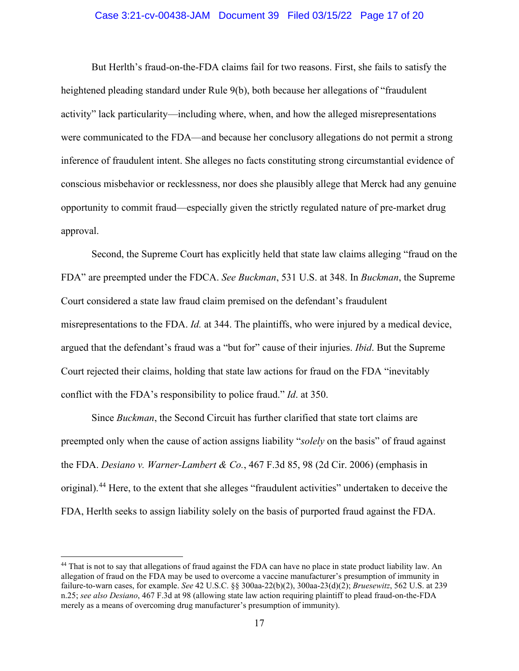# Case 3:21-cv-00438-JAM Document 39 Filed 03/15/22 Page 17 of 20

But Herlth's fraud-on-the-FDA claims fail for two reasons. First, she fails to satisfy the heightened pleading standard under Rule 9(b), both because her allegations of "fraudulent activity" lack particularity—including where, when, and how the alleged misrepresentations were communicated to the FDA—and because her conclusory allegations do not permit a strong inference of fraudulent intent. She alleges no facts constituting strong circumstantial evidence of conscious misbehavior or recklessness, nor does she plausibly allege that Merck had any genuine opportunity to commit fraud—especially given the strictly regulated nature of pre-market drug approval.

Second, the Supreme Court has explicitly held that state law claims alleging "fraud on the FDA" are preempted under the FDCA. *See Buckman*, 531 U.S. at 348. In *Buckman*, the Supreme Court considered a state law fraud claim premised on the defendant's fraudulent misrepresentations to the FDA. *Id.* at 344. The plaintiffs, who were injured by a medical device, argued that the defendant's fraud was a "but for" cause of their injuries. *Ibid*. But the Supreme Court rejected their claims, holding that state law actions for fraud on the FDA "inevitably conflict with the FDA's responsibility to police fraud." *Id*. at 350.

Since *Buckman*, the Second Circuit has further clarified that state tort claims are preempted only when the cause of action assigns liability "*solely* on the basis" of fraud against the FDA. *Desiano v. Warner-Lambert & Co.*, 467 F.3d 85, 98 (2d Cir. 2006) (emphasis in original).<sup>44</sup> Here, to the extent that she alleges "fraudulent activities" undertaken to deceive the FDA, Herlth seeks to assign liability solely on the basis of purported fraud against the FDA.

<sup>&</sup>lt;sup>44</sup> That is not to say that allegations of fraud against the FDA can have no place in state product liability law. An allegation of fraud on the FDA may be used to overcome a vaccine manufacturer's presumption of immunity in failure-to-warn cases, for example. *See* 42 U.S.C. §§ 300aa-22(b)(2), 300aa-23(d)(2); *Bruesewitz*, 562 U.S. at 239 n.25; *see also Desiano*, 467 F.3d at 98 (allowing state law action requiring plaintiff to plead fraud-on-the-FDA merely as a means of overcoming drug manufacturer's presumption of immunity).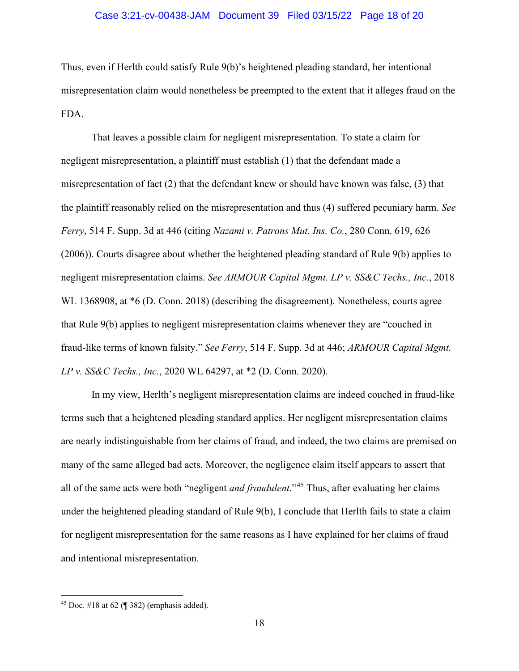# Case 3:21-cv-00438-JAM Document 39 Filed 03/15/22 Page 18 of 20

Thus, even if Herlth could satisfy Rule 9(b)'s heightened pleading standard, her intentional misrepresentation claim would nonetheless be preempted to the extent that it alleges fraud on the FDA.

That leaves a possible claim for negligent misrepresentation. To state a claim for negligent misrepresentation, a plaintiff must establish (1) that the defendant made a misrepresentation of fact (2) that the defendant knew or should have known was false, (3) that the plaintiff reasonably relied on the misrepresentation and thus (4) suffered pecuniary harm. *See Ferry*, 514 F. Supp. 3d at 446 (citing *Nazami v. Patrons Mut. Ins. Co.*, 280 Conn. 619, 626 (2006)). Courts disagree about whether the heightened pleading standard of Rule 9(b) applies to negligent misrepresentation claims. *See ARMOUR Capital Mgmt. LP v. SS&C Techs., Inc.*, 2018 WL 1368908, at  $*6$  (D. Conn. 2018) (describing the disagreement). Nonetheless, courts agree that Rule 9(b) applies to negligent misrepresentation claims whenever they are "couched in fraud-like terms of known falsity." *See Ferry*, 514 F. Supp. 3d at 446; *ARMOUR Capital Mgmt. LP v. SS&C Techs., Inc.*, 2020 WL 64297, at \*2 (D. Conn. 2020).

In my view, Herlth's negligent misrepresentation claims are indeed couched in fraud-like terms such that a heightened pleading standard applies. Her negligent misrepresentation claims are nearly indistinguishable from her claims of fraud, and indeed, the two claims are premised on many of the same alleged bad acts. Moreover, the negligence claim itself appears to assert that all of the same acts were both "negligent *and fraudulent*."<sup>45</sup> Thus, after evaluating her claims under the heightened pleading standard of Rule 9(b), I conclude that Herlth fails to state a claim for negligent misrepresentation for the same reasons as I have explained for her claims of fraud and intentional misrepresentation.

 $45$  Doc. #18 at 62 (¶ 382) (emphasis added).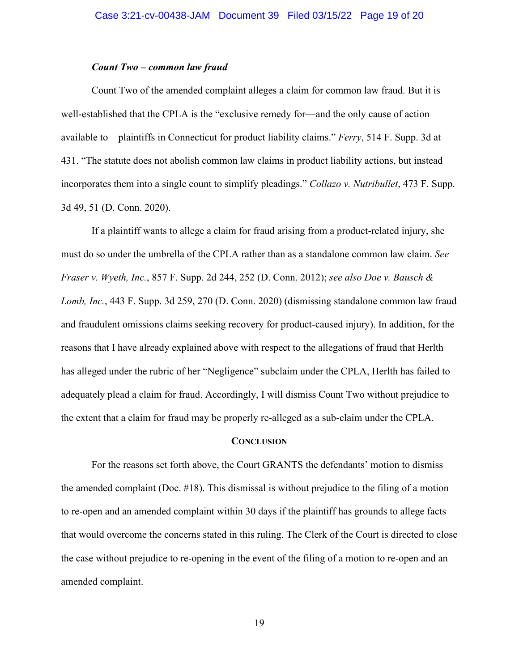# *Count Two – common law fraud*

Count Two of the amended complaint alleges a claim for common law fraud. But it is well-established that the CPLA is the "exclusive remedy for—and the only cause of action available to—plaintiffs in Connecticut for product liability claims." *Ferry*, 514 F. Supp. 3d at 431. "The statute does not abolish common law claims in product liability actions, but instead incorporates them into a single count to simplify pleadings." *Collazo v. Nutribullet*, 473 F. Supp. 3d 49, 51 (D. Conn. 2020).

If a plaintiff wants to allege a claim for fraud arising from a product-related injury, she must do so under the umbrella of the CPLA rather than as a standalone common law claim. *See Fraser v. Wyeth, Inc.*, 857 F. Supp. 2d 244, 252 (D. Conn. 2012); *see also Doe v. Bausch & Lomb, Inc.*, 443 F. Supp. 3d 259, 270 (D. Conn. 2020) (dismissing standalone common law fraud and fraudulent omissions claims seeking recovery for product-caused injury). In addition, for the reasons that I have already explained above with respect to the allegations of fraud that Herlth has alleged under the rubric of her "Negligence" subclaim under the CPLA, Herlth has failed to adequately plead a claim for fraud. Accordingly, I will dismiss Count Two without prejudice to the extent that a claim for fraud may be properly re-alleged as a sub-claim under the CPLA.

#### **CONCLUSION**

For the reasons set forth above, the Court GRANTS the defendants' motion to dismiss the amended complaint (Doc. #18). This dismissal is without prejudice to the filing of a motion to re-open and an amended complaint within 30 days if the plaintiff has grounds to allege facts that would overcome the concerns stated in this ruling. The Clerk of the Court is directed to close the case without prejudice to re-opening in the event of the filing of a motion to re-open and an amended complaint.